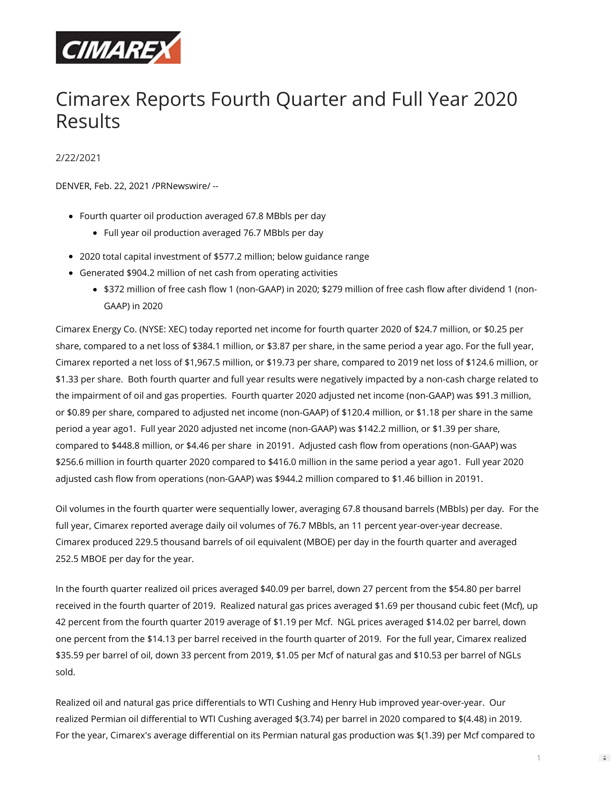

# Cimarex Reports Fourth Quarter and Full Year 2020 Results

2/22/2021

DENVER, Feb. 22, 2021 /PRNewswire/ --

- Fourth quarter oil production averaged 67.8 MBbls per day
	- Full year oil production averaged 76.7 MBbls per day
- 2020 total capital investment of \$577.2 million; below guidance range
- Generated \$904.2 million of net cash from operating activities
	- \$372 million of free cash flow 1 (non-GAAP) in 2020; \$279 million of free cash flow after dividend 1 (non-GAAP) in 2020

Cimarex Energy Co. (NYSE: XEC) today reported net income for fourth quarter 2020 of \$24.7 million, or \$0.25 per share, compared to a net loss of \$384.1 million, or \$3.87 per share, in the same period a year ago. For the full year, Cimarex reported a net loss of \$1,967.5 million, or \$19.73 per share, compared to 2019 net loss of \$124.6 million, or \$1.33 per share. Both fourth quarter and full year results were negatively impacted by a non-cash charge related to the impairment of oil and gas properties. Fourth quarter 2020 adjusted net income (non-GAAP) was \$91.3 million, or \$0.89 per share, compared to adjusted net income (non-GAAP) of \$120.4 million, or \$1.18 per share in the same period a year ago1. Full year 2020 adjusted net income (non-GAAP) was \$142.2 million, or \$1.39 per share, compared to \$448.8 million, or \$4.46 per share in 20191. Adjusted cash flow from operations (non-GAAP) was \$256.6 million in fourth quarter 2020 compared to \$416.0 million in the same period a year ago1. Full year 2020 adjusted cash flow from operations (non-GAAP) was \$944.2 million compared to \$1.46 billion in 20191.

Oil volumes in the fourth quarter were sequentially lower, averaging 67.8 thousand barrels (MBbls) per day. For the full year, Cimarex reported average daily oil volumes of 76.7 MBbls, an 11 percent year-over-year decrease. Cimarex produced 229.5 thousand barrels of oil equivalent (MBOE) per day in the fourth quarter and averaged 252.5 MBOE per day for the year.

In the fourth quarter realized oil prices averaged \$40.09 per barrel, down 27 percent from the \$54.80 per barrel received in the fourth quarter of 2019. Realized natural gas prices averaged \$1.69 per thousand cubic feet (Mcf), up 42 percent from the fourth quarter 2019 average of \$1.19 per Mcf. NGL prices averaged \$14.02 per barrel, down one percent from the \$14.13 per barrel received in the fourth quarter of 2019. For the full year, Cimarex realized \$35.59 per barrel of oil, down 33 percent from 2019, \$1.05 per Mcf of natural gas and \$10.53 per barrel of NGLs sold.

Realized oil and natural gas price differentials to WTI Cushing and Henry Hub improved year-over-year. Our realized Permian oil differential to WTI Cushing averaged \$(3.74) per barrel in 2020 compared to \$(4.48) in 2019. For the year, Cimarex's average differential on its Permian natural gas production was \$(1.39) per Mcf compared to

 $\Rightarrow$ 

1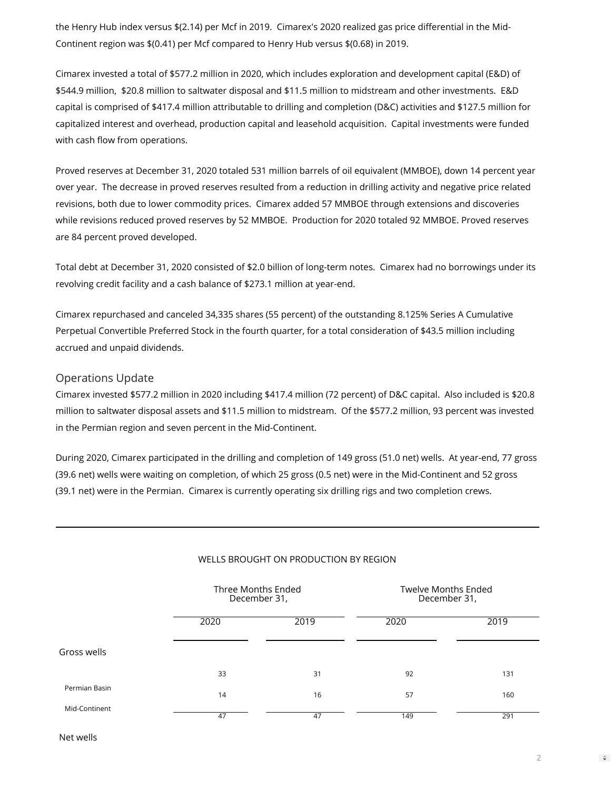the Henry Hub index versus \$(2.14) per Mcf in 2019. Cimarex's 2020 realized gas price differential in the Mid-Continent region was \$(0.41) per Mcf compared to Henry Hub versus \$(0.68) in 2019.

Cimarex invested a total of \$577.2 million in 2020, which includes exploration and development capital (E&D) of \$544.9 million, \$20.8 million to saltwater disposal and \$11.5 million to midstream and other investments. E&D capital is comprised of \$417.4 million attributable to drilling and completion (D&C) activities and \$127.5 million for capitalized interest and overhead, production capital and leasehold acquisition. Capital investments were funded with cash flow from operations.

Proved reserves at December 31, 2020 totaled 531 million barrels of oil equivalent (MMBOE), down 14 percent year over year. The decrease in proved reserves resulted from a reduction in drilling activity and negative price related revisions, both due to lower commodity prices. Cimarex added 57 MMBOE through extensions and discoveries while revisions reduced proved reserves by 52 MMBOE. Production for 2020 totaled 92 MMBOE. Proved reserves are 84 percent proved developed.

Total debt at December 31, 2020 consisted of \$2.0 billion of long-term notes. Cimarex had no borrowings under its revolving credit facility and a cash balance of \$273.1 million at year-end.

Cimarex repurchased and canceled 34,335 shares (55 percent) of the outstanding 8.125% Series A Cumulative Perpetual Convertible Preferred Stock in the fourth quarter, for a total consideration of \$43.5 million including accrued and unpaid dividends.

## Operations Update

Cimarex invested \$577.2 million in 2020 including \$417.4 million (72 percent) of D&C capital. Also included is \$20.8 million to saltwater disposal assets and \$11.5 million to midstream. Of the \$577.2 million, 93 percent was invested in the Permian region and seven percent in the Mid-Continent.

During 2020, Cimarex participated in the drilling and completion of 149 gross (51.0 net) wells. At year-end, 77 gross (39.6 net) wells were waiting on completion, of which 25 gross (0.5 net) were in the Mid-Continent and 52 gross (39.1 net) were in the Permian. Cimarex is currently operating six drilling rigs and two completion crews.

|               | Three Months Ended<br>December 31, |      | <b>Twelve Months Ended</b><br>December 31, |      |  |  |
|---------------|------------------------------------|------|--------------------------------------------|------|--|--|
|               | 2020                               | 2019 | 2020                                       | 2019 |  |  |
| Gross wells   |                                    |      |                                            |      |  |  |
|               | 33                                 | 31   | 92                                         | 131  |  |  |
| Permian Basin | 14                                 | 16   | 57                                         | 160  |  |  |
| Mid-Continent | 47                                 | 47   | 149                                        | 291  |  |  |

## WELLS BROUGHT ON PRODUCTION BY REGION

Net wells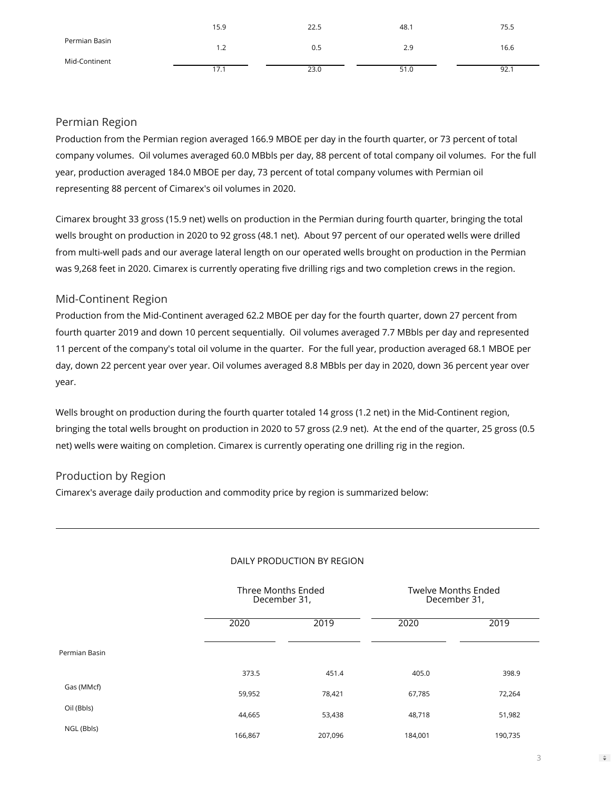|               | 15.9 | 22.5 | 48.1 | 75.5 |
|---------------|------|------|------|------|
| Permian Basin | 1.2  | 0.5  | 2.9  | 16.6 |
| Mid-Continent | 17.1 | 23.0 | 51.0 | 92.1 |

## Permian Region

Production from the Permian region averaged 166.9 MBOE per day in the fourth quarter, or 73 percent of total company volumes. Oil volumes averaged 60.0 MBbls per day, 88 percent of total company oil volumes. For the full year, production averaged 184.0 MBOE per day, 73 percent of total company volumes with Permian oil representing 88 percent of Cimarex's oil volumes in 2020.

Cimarex brought 33 gross (15.9 net) wells on production in the Permian during fourth quarter, bringing the total wells brought on production in 2020 to 92 gross (48.1 net). About 97 percent of our operated wells were drilled from multi-well pads and our average lateral length on our operated wells brought on production in the Permian was 9,268 feet in 2020. Cimarex is currently operating five drilling rigs and two completion crews in the region.

# Mid-Continent Region

Production from the Mid-Continent averaged 62.2 MBOE per day for the fourth quarter, down 27 percent from fourth quarter 2019 and down 10 percent sequentially. Oil volumes averaged 7.7 MBbls per day and represented 11 percent of the company's total oil volume in the quarter. For the full year, production averaged 68.1 MBOE per day, down 22 percent year over year. Oil volumes averaged 8.8 MBbls per day in 2020, down 36 percent year over year.

Wells brought on production during the fourth quarter totaled 14 gross (1.2 net) in the Mid-Continent region, bringing the total wells brought on production in 2020 to 57 gross (2.9 net). At the end of the quarter, 25 gross (0.5 net) wells were waiting on completion. Cimarex is currently operating one drilling rig in the region.

# Production by Region

Cimarex's average daily production and commodity price by region is summarized below:

|               | Three Months Ended<br>December 31, |         | <b>Twelve Months Ended</b><br>December 31, |         |  |  |
|---------------|------------------------------------|---------|--------------------------------------------|---------|--|--|
|               | 2020                               | 2019    | 2020                                       | 2019    |  |  |
| Permian Basin |                                    |         |                                            |         |  |  |
|               | 373.5                              | 451.4   | 405.0                                      | 398.9   |  |  |
| Gas (MMcf)    | 59,952                             | 78,421  | 67,785                                     | 72,264  |  |  |
| Oil (Bbls)    | 44,665                             | 53,438  | 48,718                                     | 51,982  |  |  |
| NGL (Bbls)    | 166,867                            | 207,096 | 184,001                                    | 190,735 |  |  |

## DAILY PRODUCTION BY REGION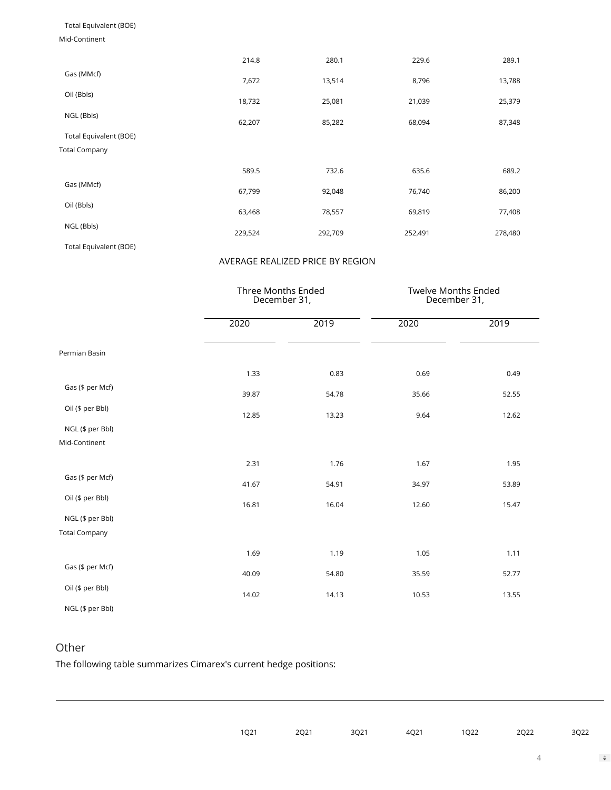## Total Equivalent (BOE)

#### Mid-Continent

|                        | 214.8   | 280.1   | 229.6   | 289.1   |
|------------------------|---------|---------|---------|---------|
| Gas (MMcf)             | 7,672   | 13,514  | 8,796   | 13,788  |
| Oil (Bbls)             | 18,732  | 25,081  | 21,039  | 25,379  |
| NGL (Bbls)             | 62,207  | 85,282  | 68,094  | 87,348  |
| Total Equivalent (BOE) |         |         |         |         |
| <b>Total Company</b>   |         |         |         |         |
|                        | 589.5   | 732.6   | 635.6   | 689.2   |
| Gas (MMcf)             | 67,799  | 92,048  | 76,740  | 86,200  |
| Oil (Bbls)             | 63,468  | 78,557  | 69,819  | 77,408  |
| NGL (Bbls)             | 229,524 | 292,709 | 252,491 | 278,480 |
| Total Equivalent (BOE) |         |         |         |         |

## AVERAGE REALIZED PRICE BY REGION

|                      |       | Three Months Ended<br>December 31, |       | Twelve Months Ended<br>December 31, |
|----------------------|-------|------------------------------------|-------|-------------------------------------|
|                      | 2020  | 2019                               | 2020  | 2019                                |
| Permian Basin        |       |                                    |       |                                     |
|                      | 1.33  | 0.83                               | 0.69  | 0.49                                |
| Gas (\$ per Mcf)     | 39.87 | 54.78                              | 35.66 | 52.55                               |
| Oil (\$ per Bbl)     | 12.85 | 13.23                              | 9.64  | 12.62                               |
| NGL (\$ per Bbl)     |       |                                    |       |                                     |
| Mid-Continent        |       |                                    |       |                                     |
|                      | 2.31  | 1.76                               | 1.67  | 1.95                                |
| Gas (\$ per Mcf)     | 41.67 | 54.91                              | 34.97 | 53.89                               |
| Oil (\$ per Bbl)     | 16.81 | 16.04                              | 12.60 | 15.47                               |
| NGL (\$ per Bbl)     |       |                                    |       |                                     |
| <b>Total Company</b> |       |                                    |       |                                     |
|                      | 1.69  | 1.19                               | 1.05  | 1.11                                |
| Gas (\$ per Mcf)     | 40.09 | 54.80                              | 35.59 | 52.77                               |
| Oil (\$ per Bbl)     | 14.02 | 14.13                              | 10.53 | 13.55                               |
| NGL (\$ per Bbl)     |       |                                    |       |                                     |

# Other

The following table summarizes Cimarex's current hedge positions:

|  | 1Q21 2Q21 3Q21 4Q21 1Q22 2Q22 3Q22 |  |  |
|--|------------------------------------|--|--|
|  |                                    |  |  |

 $\Rightarrow$ 

4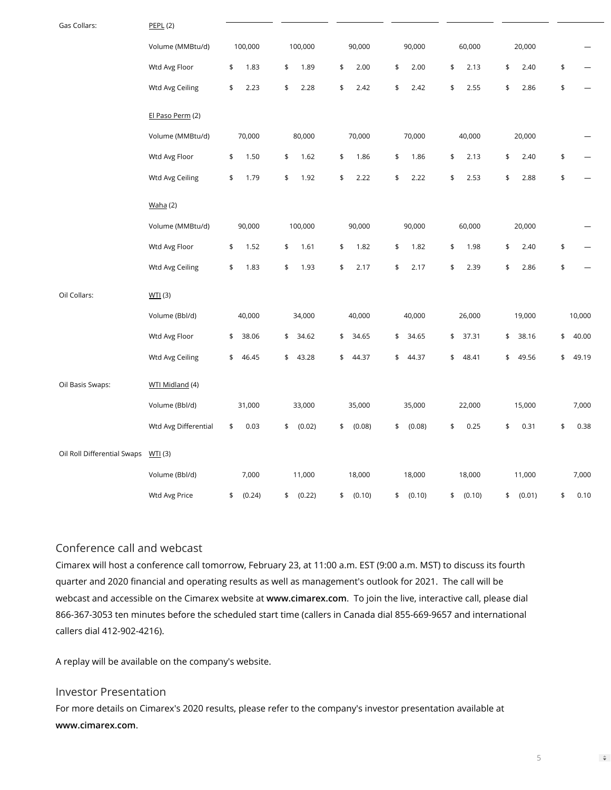| Gas Collars:                | <b>PEPL (2)</b>      |              |              |              |              |              |              |                      |
|-----------------------------|----------------------|--------------|--------------|--------------|--------------|--------------|--------------|----------------------|
|                             | Volume (MMBtu/d)     | 100,000      | 100,000      | 90,000       | 90,000       | 60,000       | 20,000       |                      |
|                             | Wtd Avg Floor        | 1.83<br>\$   | 1.89<br>\$   | \$<br>2.00   | 2.00<br>\$   | \$<br>2.13   | \$<br>2.40   | \$                   |
|                             | Wtd Avg Ceiling      | 2.23<br>\$   | \$<br>2.28   | \$<br>2.42   | \$<br>2.42   | \$<br>2.55   | \$<br>2.86   | \$                   |
|                             | El Paso Perm (2)     |              |              |              |              |              |              |                      |
|                             | Volume (MMBtu/d)     | 70,000       | 80,000       | 70,000       | 70,000       | 40,000       | 20,000       |                      |
|                             | Wtd Avg Floor        | 1.50<br>\$   | \$<br>1.62   | 1.86<br>\$   | 1.86<br>\$   | \$<br>2.13   | 2.40<br>\$   | \$                   |
|                             | Wtd Avg Ceiling      | 1.79<br>\$   | \$<br>1.92   | \$<br>2.22   | \$<br>2.22   | \$<br>2.53   | \$<br>2.88   | \$                   |
|                             | Waha (2)             |              |              |              |              |              |              |                      |
|                             | Volume (MMBtu/d)     | 90,000       | 100,000      | 90,000       | 90,000       | 60,000       | 20,000       |                      |
|                             | Wtd Avg Floor        | 1.52<br>\$   | \$<br>1.61   | \$<br>1.82   | 1.82<br>\$   | \$<br>1.98   | \$<br>2.40   | $\pmb{\mathfrak{s}}$ |
|                             | Wtd Avg Ceiling      | 1.83<br>\$   | \$<br>1.93   | \$<br>2.17   | \$<br>2.17   | \$<br>2.39   | \$<br>2.86   | \$                   |
| Oil Collars:                | WII(3)               |              |              |              |              |              |              |                      |
|                             | Volume (Bbl/d)       | 40,000       | 34,000       | 40,000       | 40,000       | 26,000       | 19,000       | 10,000               |
|                             | Wtd Avg Floor        | 38.06<br>\$  | \$<br>34.62  | \$<br>34.65  | \$<br>34.65  | \$<br>37.31  | 38.16<br>\$  | 40.00<br>\$          |
|                             | Wtd Avg Ceiling      | 46.45<br>\$  | \$<br>43.28  | \$<br>44.37  | \$<br>44.37  | 48.41<br>\$  | 49.56<br>\$  | 49.19<br>\$          |
| Oil Basis Swaps:            | WTI Midland (4)      |              |              |              |              |              |              |                      |
|                             | Volume (Bbl/d)       | 31,000       | 33,000       | 35,000       | 35,000       | 22,000       | 15,000       | 7,000                |
|                             | Wtd Avg Differential | \$<br>0.03   | \$<br>(0.02) | \$<br>(0.08) | \$<br>(0.08) | 0.25<br>\$   | \$<br>0.31   | \$<br>0.38           |
| Oil Roll Differential Swaps | WII(3)               |              |              |              |              |              |              |                      |
|                             | Volume (Bbl/d)       | 7,000        | 11,000       | 18,000       | 18,000       | 18,000       | 11,000       | 7,000                |
|                             | Wtd Avg Price        | (0.24)<br>\$ | (0.22)<br>\$ | (0.10)<br>\$ | \$<br>(0.10) | (0.10)<br>\$ | (0.01)<br>\$ | 0.10<br>\$           |

## Conference call and webcast

Cimarex will host a conference call tomorrow, February 23, at 11:00 a.m. EST (9:00 a.m. MST) to discuss its fourth quarter and 2020 financial and operating results as well as management's outlook for 2021. The call will be webcast and accessible on the Cimarex website at **[www.cimarex.com](http://www.cimarex.com/)**. To join the live, interactive call, please dial 866-367-3053 ten minutes before the scheduled start time (callers in Canada dial 855-669-9657 and international callers dial 412-902-4216).

A replay will be available on the company's website.

## Investor Presentation

For more details on Cimarex's 2020 results, please refer to the company's investor presentation available at **[www.cimarex.com](http://www.cimarex.com/)**.

5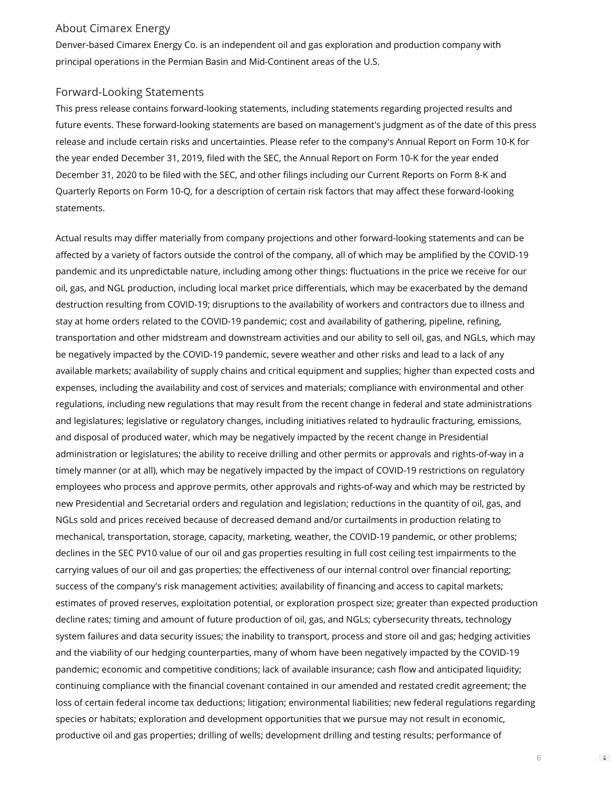## About Cimarex Energy

Denver-based Cimarex Energy Co. is an independent oil and gas exploration and production company with principal operations in the Permian Basin and Mid-Continent areas of the U.S.

## Forward-Looking Statements

This press release contains forward-looking statements, including statements regarding projected results and future events. These forward-looking statements are based on management's judgment as of the date of this press release and include certain risks and uncertainties. Please refer to the company's Annual Report on Form 10-K for the year ended December 31, 2019, filed with the SEC, the Annual Report on Form 10-K for the year ended December 31, 2020 to be filed with the SEC, and other filings including our Current Reports on Form 8-K and Quarterly Reports on Form 10-Q, for a description of certain risk factors that may affect these forward-looking statements.

Actual results may differ materially from company projections and other forward-looking statements and can be affected by a variety of factors outside the control of the company, all of which may be amplified by the COVID-19 pandemic and its unpredictable nature, including among other things: fluctuations in the price we receive for our oil, gas, and NGL production, including local market price differentials, which may be exacerbated by the demand destruction resulting from COVID-19; disruptions to the availability of workers and contractors due to illness and stay at home orders related to the COVID-19 pandemic; cost and availability of gathering, pipeline, refining, transportation and other midstream and downstream activities and our ability to sell oil, gas, and NGLs, which may be negatively impacted by the COVID-19 pandemic, severe weather and other risks and lead to a lack of any available markets; availability of supply chains and critical equipment and supplies; higher than expected costs and expenses, including the availability and cost of services and materials; compliance with environmental and other regulations, including new regulations that may result from the recent change in federal and state administrations and legislatures; legislative or regulatory changes, including initiatives related to hydraulic fracturing, emissions, and disposal of produced water, which may be negatively impacted by the recent change in Presidential administration or legislatures; the ability to receive drilling and other permits or approvals and rights-of-way in a timely manner (or at all), which may be negatively impacted by the impact of COVID-19 restrictions on regulatory employees who process and approve permits, other approvals and rights-of-way and which may be restricted by new Presidential and Secretarial orders and regulation and legislation; reductions in the quantity of oil, gas, and NGLs sold and prices received because of decreased demand and/or curtailments in production relating to mechanical, transportation, storage, capacity, marketing, weather, the COVID-19 pandemic, or other problems; declines in the SEC PV10 value of our oil and gas properties resulting in full cost ceiling test impairments to the carrying values of our oil and gas properties; the effectiveness of our internal control over financial reporting; success of the company's risk management activities; availability of financing and access to capital markets; estimates of proved reserves, exploitation potential, or exploration prospect size; greater than expected production decline rates; timing and amount of future production of oil, gas, and NGLs; cybersecurity threats, technology system failures and data security issues; the inability to transport, process and store oil and gas; hedging activities and the viability of our hedging counterparties, many of whom have been negatively impacted by the COVID-19 pandemic; economic and competitive conditions; lack of available insurance; cash flow and anticipated liquidity; continuing compliance with the financial covenant contained in our amended and restated credit agreement; the loss of certain federal income tax deductions; litigation; environmental liabilities; new federal regulations regarding species or habitats; exploration and development opportunities that we pursue may not result in economic, productive oil and gas properties; drilling of wells; development drilling and testing results; performance of

6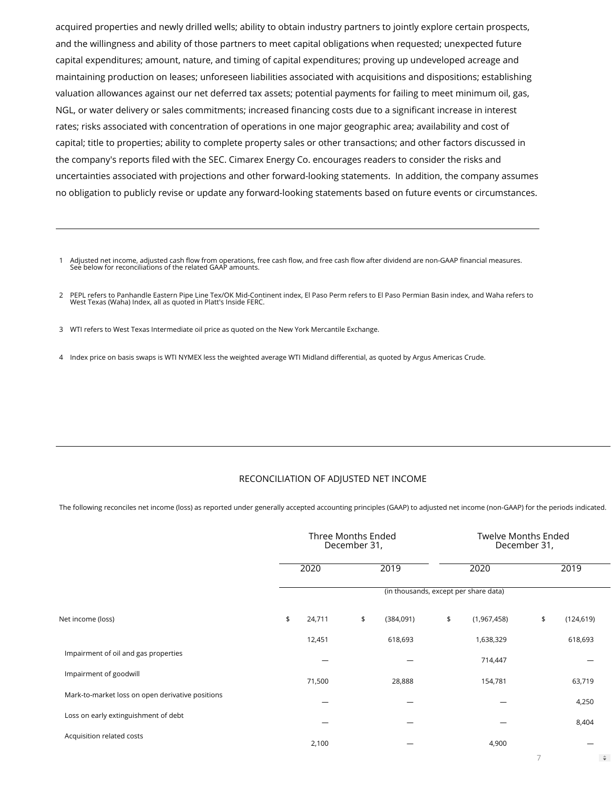acquired properties and newly drilled wells; ability to obtain industry partners to jointly explore certain prospects, and the willingness and ability of those partners to meet capital obligations when requested; unexpected future capital expenditures; amount, nature, and timing of capital expenditures; proving up undeveloped acreage and maintaining production on leases; unforeseen liabilities associated with acquisitions and dispositions; establishing valuation allowances against our net deferred tax assets; potential payments for failing to meet minimum oil, gas, NGL, or water delivery or sales commitments; increased financing costs due to a significant increase in interest rates; risks associated with concentration of operations in one major geographic area; availability and cost of capital; title to properties; ability to complete property sales or other transactions; and other factors discussed in the company's reports filed with the SEC. Cimarex Energy Co. encourages readers to consider the risks and uncertainties associated with projections and other forward-looking statements. In addition, the company assumes no obligation to publicly revise or update any forward-looking statements based on future events or circumstances.

1 Adjusted net income, adjusted cash flow from operations, free cash flow, and free cash flow after dividend are non-GAAP financial measures.<br>See below for reconciliations of the related GAAP amounts.

<sup>2</sup> PEPL refers to Panhandle Eastern Pipe Line Tex/OK Mid-Continent index, El Paso Perm refers to El Paso Permian Basin index, and Waha refers to West Texas (Waha) Index, all as quoted in Platt's Inside FERC.

3 WTI refers to West Texas Intermediate oil price as quoted on the New York Mercantile Exchange.

4 Index price on basis swaps is WTI NYMEX less the weighted average WTI Midland differential, as quoted by Argus Americas Crude.

#### RECONCILIATION OF ADJUSTED NET INCOME

The following reconciles net income (loss) as reported under generally accepted accounting principles (GAAP) to adjusted net income (non-GAAP) for the periods indicated.

|                                                  | Three Months Ended<br>December 31, |    | <b>Twelve Months Ended</b><br>December 31, |                   |    |            |               |
|--------------------------------------------------|------------------------------------|----|--------------------------------------------|-------------------|----|------------|---------------|
|                                                  | 2020                               |    | 2019                                       | 2020              |    | 2019       |               |
|                                                  |                                    |    | (in thousands, except per share data)      |                   |    |            |               |
| Net income (loss)                                | \$<br>24,711                       | \$ | (384,091)                                  | \$<br>(1,967,458) | \$ | (124, 619) |               |
|                                                  | 12,451                             |    | 618,693                                    | 1,638,329         |    | 618,693    |               |
| Impairment of oil and gas properties             |                                    |    |                                            | 714,447           |    |            |               |
| Impairment of goodwill                           | 71,500                             |    | 28,888                                     | 154,781           |    | 63,719     |               |
| Mark-to-market loss on open derivative positions |                                    |    |                                            |                   |    | 4,250      |               |
| Loss on early extinguishment of debt             |                                    |    |                                            |                   |    | 8,404      |               |
| Acquisition related costs                        | 2,100                              |    |                                            | 4,900             |    |            |               |
|                                                  |                                    |    |                                            |                   | 7  |            | $\Rightarrow$ |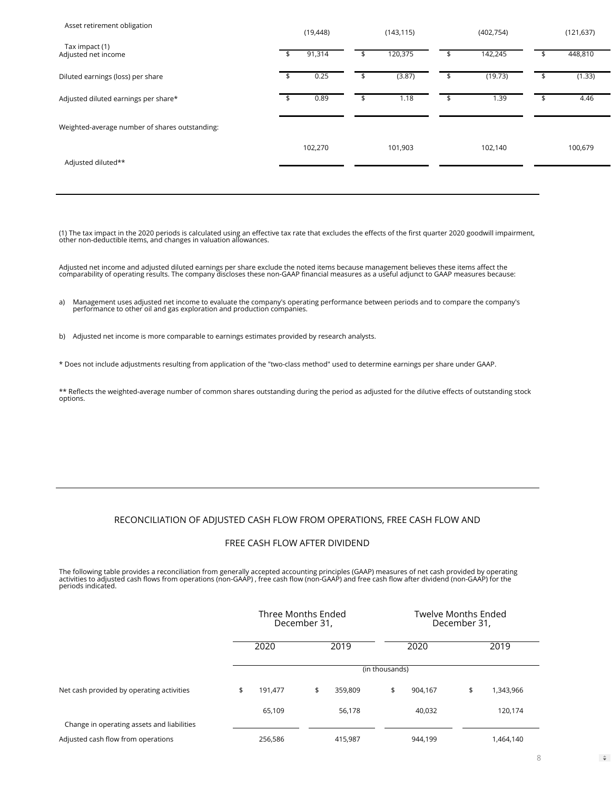| Asset retirement obligation                    | (19, 448)    |   | (143, 115) | (402, 754)    | (121, 637)   |
|------------------------------------------------|--------------|---|------------|---------------|--------------|
| Tax impact (1)<br>Adjusted net income          | \$<br>91,314 | ъ | 120,375    | \$<br>142,245 | 448,810      |
| Diluted earnings (loss) per share              | 0.25         |   | (3.87)     | (19.73)       | \$<br>(1.33) |
| Adjusted diluted earnings per share*           | 0.89         |   | 1.18       | 1.39          | 4.46         |
| Weighted-average number of shares outstanding: |              |   |            |               |              |
| Adjusted diluted**                             | 102,270      |   | 101,903    | 102,140       | 100,679      |
|                                                |              |   |            |               |              |

(1) The tax impact in the 2020 periods is calculated using an effective tax rate that excludes the effects of the first quarter 2020 goodwill impairment,<br>other non-deductible items, and changes in valuation allowances.

Adjusted net income and adjusted diluted earnings per share exclude the noted items because management believes these items affect the<br>comparability of operating results. The company discloses these non-GAAP financial meas

a) Management uses adjusted net income to evaluate the company's operating performance between periods and to compare the company's performance to other oil and gas exploration and production companies.

b) Adjusted net income is more comparable to earnings estimates provided by research analysts.

\* Does not include adjustments resulting from application of the "two-class method" used to determine earnings per share under GAAP.

\*\* Reflects the weighted-average number of common shares outstanding during the period as adjusted for the dilutive effects of outstanding stock options.

#### RECONCILIATION OF ADJUSTED CASH FLOW FROM OPERATIONS, FREE CASH FLOW AND

#### FREE CASH FLOW AFTER DIVIDEND

The following table provides a reconciliation from generally accepted accounting principles (GAAP) measures of net cash provided by operating<br>activities to adjusted cash flows from operations (non-GAAP) , free cash flow (n

|                                            | Three Months Ended<br>December 31, |         |               | Twelve Months Ended<br>December 31, |         |    |           |
|--------------------------------------------|------------------------------------|---------|---------------|-------------------------------------|---------|----|-----------|
|                                            |                                    | 2020    | 2019          |                                     | 2020    |    | 2019      |
|                                            |                                    |         |               | (in thousands)                      |         |    |           |
| Net cash provided by operating activities  | \$                                 | 191,477 | \$<br>359,809 | \$                                  | 904,167 | \$ | 1,343,966 |
|                                            |                                    | 65,109  | 56,178        |                                     | 40,032  |    | 120,174   |
| Change in operating assets and liabilities |                                    |         |               |                                     |         |    |           |
| Adjusted cash flow from operations         |                                    | 256,586 | 415,987       |                                     | 944,199 |    | 1,464,140 |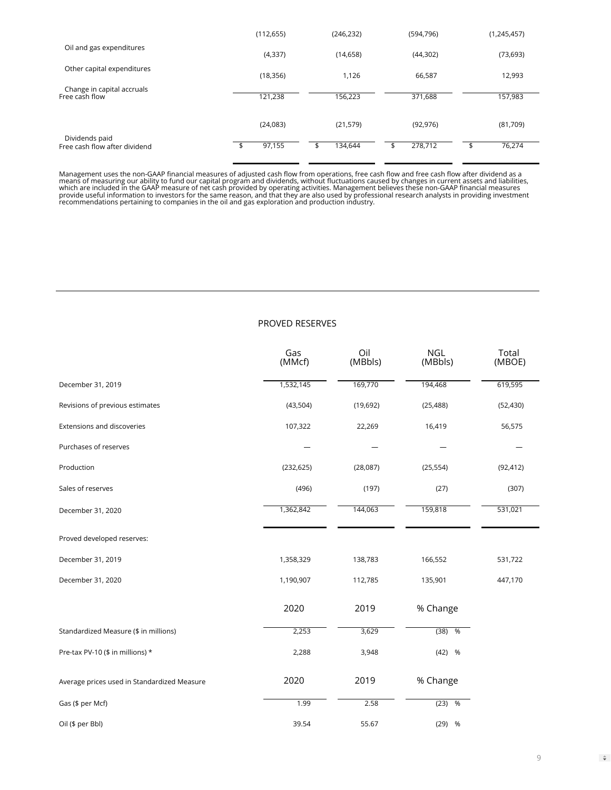|                                                 | (112, 655)  | (246, 232)    | (594, 796) | (1, 245, 457) |
|-------------------------------------------------|-------------|---------------|------------|---------------|
| Oil and gas expenditures                        | (4, 337)    | (14,658)      | (44, 302)  | (73, 693)     |
| Other capital expenditures                      | (18, 356)   | 1,126         | 66,587     | 12,993        |
| Change in capital accruals<br>Free cash flow    | 121,238     | 156,223       | 371,688    | 157,983       |
|                                                 | (24,083)    | (21, 579)     | (92, 976)  | (81,709)      |
| Dividends paid<br>Free cash flow after dividend | 97,155<br>⊅ | 134,644<br>\$ | 278,712    | 76,274<br>\$  |

Management uses the non-GAAP financial measures of adjusted cash flow from operations, free cash flow and free cash flow after dividend as a<br>means of measuring our ability to fund our capital program and dividends, without

#### PROVED RESERVES

|                                             | Gas<br>(MMcf) | Oil<br>(MBbls) | <b>NGL</b><br>(MBbls) | Total<br>(MBOE) |
|---------------------------------------------|---------------|----------------|-----------------------|-----------------|
| December 31, 2019                           | 1,532,145     | 169,770        | 194,468               | 619,595         |
| Revisions of previous estimates             | (43, 504)     | (19,692)       | (25, 488)             | (52, 430)       |
| Extensions and discoveries                  | 107,322       | 22,269         | 16,419                | 56,575          |
| Purchases of reserves                       |               |                |                       |                 |
| Production                                  | (232, 625)    | (28,087)       | (25, 554)             | (92, 412)       |
| Sales of reserves                           | (496)         | (197)          | (27)                  | (307)           |
| December 31, 2020                           | 1,362,842     | 144,063        | 159,818               | 531,021         |
| Proved developed reserves:                  |               |                |                       |                 |
| December 31, 2019                           | 1,358,329     | 138,783        | 166,552               | 531,722         |
| December 31, 2020                           | 1,190,907     | 112,785        | 135,901               | 447,170         |
|                                             | 2020          | 2019           | % Change              |                 |
| Standardized Measure (\$ in millions)       | 2,253         | 3,629          | $(38)$ %              |                 |
| Pre-tax PV-10 (\$ in millions) *            | 2,288         | 3,948          | $(42)$ %              |                 |
| Average prices used in Standardized Measure | 2020          | 2019           | % Change              |                 |
| Gas (\$ per Mcf)                            | 1.99          | 2.58           | $(23)$ %              |                 |
| Oil (\$ per Bbl)                            | 39.54         | 55.67          | $(29)$ %              |                 |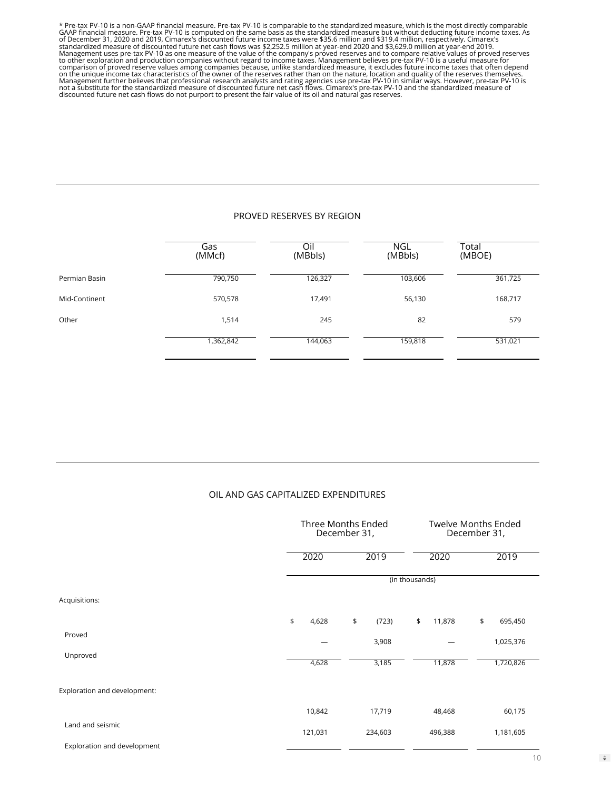\* Pre-tax PV-10 is a non-GAAP financial measure. Pre-tax PV-10 is comparable to the standardized measure, which is the most directly comparable<br>GAAP financial measure. Pre-tax PV-10 is computed on the same basis as the sta standardized measure of discounted future net cash flows was \$2,252.5 million at year-end 2020 and \$3,629.0 million at year-end 2019.<br>Management uses pre-tax PV-10 as one measure of the value of the company's proved reserv

#### PROVED RESERVES BY REGION

|               | Gas<br>(MMcf) | Oi<br>(MBbls) | <b>NGL</b><br>(MBbls) | Total<br>(MBOE) |
|---------------|---------------|---------------|-----------------------|-----------------|
| Permian Basin | 790,750       | 126,327       | 103,606               | 361,725         |
| Mid-Continent | 570,578       | 17,491        | 56,130                | 168,717         |
| Other         | 1,514         | 245           | 82                    | 579             |
|               | ,362,842      | 144,063       | 159,818               | 531,021         |

#### OIL AND GAS CAPITALIZED EXPENDITURES

|                              |             | Three Months Ended<br>December 31, |                | <b>Twelve Months Ended</b><br>December 31, |
|------------------------------|-------------|------------------------------------|----------------|--------------------------------------------|
|                              | 2020        | 2019                               | 2020           | 2019                                       |
|                              |             |                                    | (in thousands) |                                            |
| Acquisitions:                |             |                                    |                |                                            |
|                              | \$<br>4,628 | \$<br>(723)                        | \$<br>11,878   | \$<br>695,450                              |
| Proved                       |             | 3,908                              |                | 1,025,376                                  |
| Unproved                     | 4,628       | 3,185                              | 11,878         | 1,720,826                                  |
| Exploration and development: |             |                                    |                |                                            |
|                              | 10,842      | 17,719                             | 48,468         | 60,175                                     |
| Land and seismic             | 121,031     | 234,603                            | 496,388        | 1,181,605                                  |
| Exploration and development  |             |                                    |                |                                            |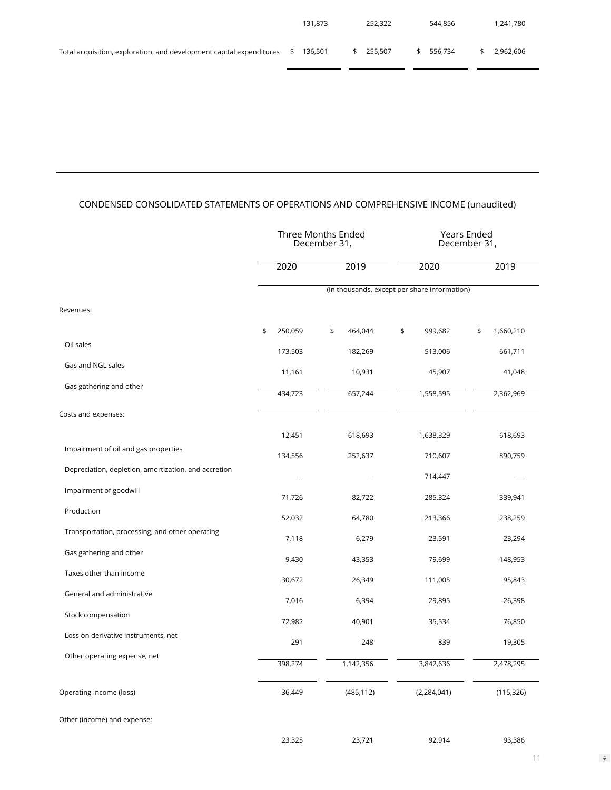|                                                                                    | 131.873 | 252.322   | 544.856 | 1.241.780 |
|------------------------------------------------------------------------------------|---------|-----------|---------|-----------|
| Total acquisition, exploration, and development capital expenditures $\frac{1}{2}$ | 136.501 | \$255.507 | 556.734 | 2.962.606 |

. .

## CONDENSED CONSOLIDATED STATEMENTS OF OPERATIONS AND COMPREHENSIVE INCOME (unaudited)

|                                                      | Three Months Ended<br>December 31,           |               |               | <b>Years Ended</b><br>December 31, |  |  |  |  |
|------------------------------------------------------|----------------------------------------------|---------------|---------------|------------------------------------|--|--|--|--|
|                                                      | 2020                                         | 2019          | 2020          | 2019                               |  |  |  |  |
|                                                      | (in thousands, except per share information) |               |               |                                    |  |  |  |  |
| Revenues:                                            |                                              |               |               |                                    |  |  |  |  |
|                                                      | \$<br>250,059                                | \$<br>464,044 | \$<br>999,682 | \$<br>1,660,210                    |  |  |  |  |
| Oil sales                                            | 173,503                                      | 182,269       | 513,006       | 661,711                            |  |  |  |  |
| Gas and NGL sales                                    | 11,161                                       | 10,931        | 45,907        | 41,048                             |  |  |  |  |
| Gas gathering and other                              | 434,723                                      | 657,244       | 1,558,595     | 2,362,969                          |  |  |  |  |
| Costs and expenses:                                  |                                              |               |               |                                    |  |  |  |  |
|                                                      | 12,451                                       | 618,693       | 1,638,329     | 618,693                            |  |  |  |  |
| Impairment of oil and gas properties                 | 134,556                                      | 252,637       | 710,607       | 890,759                            |  |  |  |  |
| Depreciation, depletion, amortization, and accretion |                                              |               | 714,447       |                                    |  |  |  |  |
| Impairment of goodwill                               | 71,726                                       | 82,722        | 285,324       | 339,941                            |  |  |  |  |
| Production                                           | 52,032                                       | 64,780        | 213,366       | 238,259                            |  |  |  |  |
| Transportation, processing, and other operating      | 7,118                                        | 6,279         | 23,591        | 23,294                             |  |  |  |  |
| Gas gathering and other                              | 9,430                                        | 43,353        | 79,699        | 148,953                            |  |  |  |  |
| Taxes other than income                              | 30,672                                       | 26,349        | 111,005       | 95,843                             |  |  |  |  |
| General and administrative                           | 7,016                                        | 6,394         | 29,895        | 26,398                             |  |  |  |  |
| Stock compensation                                   | 72,982                                       | 40,901        | 35,534        | 76,850                             |  |  |  |  |
| Loss on derivative instruments, net                  | 291                                          | 248           | 839           | 19,305                             |  |  |  |  |
| Other operating expense, net                         |                                              |               |               |                                    |  |  |  |  |
|                                                      | 398,274                                      | 1,142,356     | 3,842,636     | 2,478,295                          |  |  |  |  |
| Operating income (loss)                              | 36,449                                       | (485, 112)    | (2, 284, 041) | (115, 326)                         |  |  |  |  |
| Other (income) and expense:                          |                                              |               |               |                                    |  |  |  |  |
|                                                      | 23,325                                       | 23,721        | 92,914        | 93,386                             |  |  |  |  |

 $\hat{\mathbf{v}}$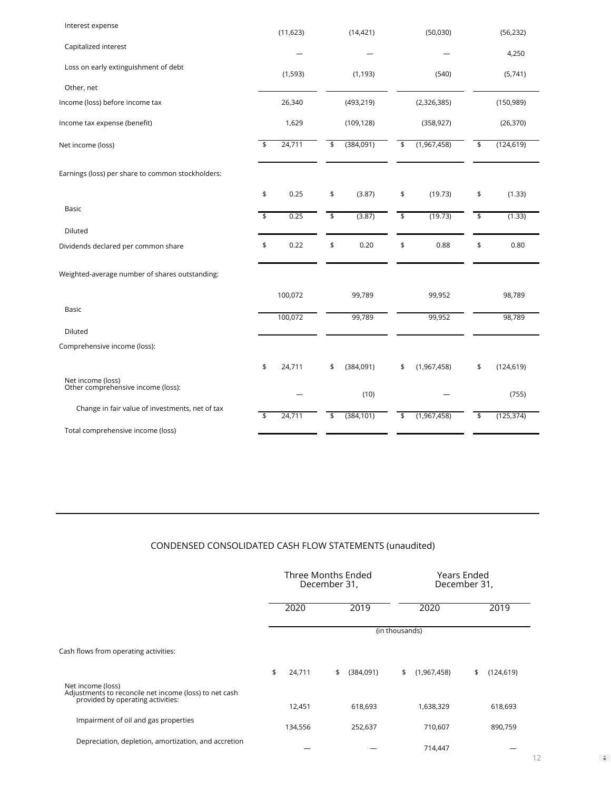| Interest expense                                        | (11, 623)    |                           | (14, 421)  |                           | (50,030)    |                           | (56, 232)  |
|---------------------------------------------------------|--------------|---------------------------|------------|---------------------------|-------------|---------------------------|------------|
| Capitalized interest                                    |              |                           |            |                           |             |                           | 4,250      |
| Loss on early extinguishment of debt                    | (1, 593)     |                           | (1, 193)   |                           | (540)       |                           | (5,741)    |
| Other, net                                              |              |                           |            |                           |             |                           |            |
| Income (loss) before income tax                         | 26,340       |                           | (493, 219) |                           | (2,326,385) |                           | (150, 989) |
| Income tax expense (benefit)                            | 1,629        |                           | (109, 128) |                           | (358, 927)  |                           | (26, 370)  |
| Net income (loss)                                       | \$<br>24,711 | \$                        | (384,091)  | \$                        | (1,967,458) | \$                        | (124, 619) |
| Earnings (loss) per share to common stockholders:       |              |                           |            |                           |             |                           |            |
|                                                         | \$<br>0.25   | \$                        | (3.87)     | \$                        | (19.73)     | \$                        | (1.33)     |
| Basic                                                   | \$<br>0.25   | $\overline{\mathfrak{s}}$ | (3.87)     | $\overline{\mathfrak{s}}$ | (19.73)     | $\overline{\mathfrak{s}}$ | (1.33)     |
| Diluted                                                 |              |                           |            |                           |             |                           |            |
| Dividends declared per common share                     | \$<br>0.22   | \$                        | 0.20       | \$                        | 0.88        | \$                        | 0.80       |
| Weighted-average number of shares outstanding:          |              |                           |            |                           |             |                           |            |
|                                                         | 100,072      |                           | 99,789     |                           | 99,952      |                           | 98,789     |
| Basic                                                   | 100,072      |                           | 99,789     |                           | 99,952      |                           | 98,789     |
| Diluted                                                 |              |                           |            |                           |             |                           |            |
| Comprehensive income (loss):                            |              |                           |            |                           |             |                           |            |
|                                                         | \$<br>24,711 | \$                        | (384,091)  | \$                        | (1,967,458) | \$                        | (124, 619) |
| Net income (loss)<br>Other comprehensive income (loss): |              |                           | (10)       |                           |             |                           | (755)      |
| Change in fair value of investments, net of tax         | \$<br>24,711 | \$                        | (384, 101) | \$                        | (1,967,458) | \$                        | (125, 374) |
| Total comprehensive income (loss)                       |              |                           |            |                           |             |                           |            |

# CONDENSED CONSOLIDATED CASH FLOW STATEMENTS (unaudited)

|                                                                                                                  | Three Months Ended<br>December 31, |    |           | Years Ended<br>December 31, |             |    |            |  |
|------------------------------------------------------------------------------------------------------------------|------------------------------------|----|-----------|-----------------------------|-------------|----|------------|--|
|                                                                                                                  | 2020                               |    | 2019      |                             | 2020        |    | 2019       |  |
|                                                                                                                  |                                    |    |           | (in thousands)              |             |    |            |  |
| Cash flows from operating activities:                                                                            |                                    |    |           |                             |             |    |            |  |
|                                                                                                                  | \$<br>24,711                       | \$ | (384,091) | \$                          | (1,967,458) | \$ | (124, 619) |  |
| Net income (loss)<br>Adjustments to reconcile net income (loss) to net cash<br>provided by operating activities: |                                    |    |           |                             |             |    |            |  |
|                                                                                                                  | 12,451                             |    | 618,693   |                             | 1,638,329   |    | 618,693    |  |
| Impairment of oil and gas properties                                                                             | 134,556                            |    | 252,637   |                             | 710,607     |    | 890,759    |  |
| Depreciation, depletion, amortization, and accretion                                                             |                                    |    |           |                             | 714,447     |    |            |  |

 $\hat{\mathbf{v}}$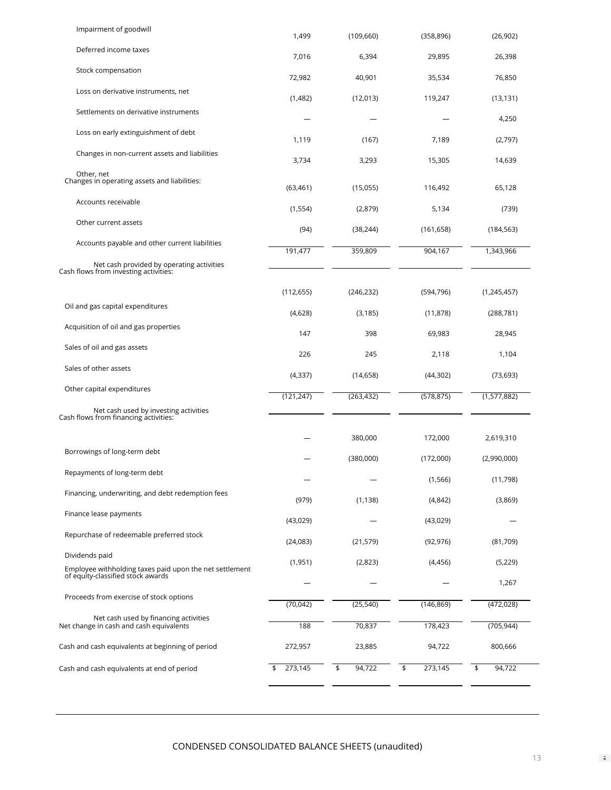| Impairment of goodwill                                                                       | 1,499         | (109, 660)   | (358, 896)    | (26,902)     |
|----------------------------------------------------------------------------------------------|---------------|--------------|---------------|--------------|
| Deferred income taxes                                                                        | 7,016         | 6,394        | 29,895        | 26,398       |
| Stock compensation                                                                           | 72,982        | 40,901       | 35,534        | 76,850       |
| Loss on derivative instruments, net                                                          | (1,482)       | (12,013)     | 119,247       | (13, 131)    |
| Settlements on derivative instruments                                                        |               |              |               | 4,250        |
| Loss on early extinguishment of debt                                                         | 1,119         | (167)        | 7,189         | (2,797)      |
| Changes in non-current assets and liabilities                                                | 3,734         | 3,293        | 15,305        | 14,639       |
| Other, net<br>Changes in operating assets and liabilities:                                   | (63, 461)     | (15,055)     | 116,492       | 65,128       |
| Accounts receivable                                                                          | (1, 554)      | (2,879)      | 5,134         | (739)        |
| Other current assets                                                                         | (94)          | (38, 244)    | (161, 658)    | (184, 563)   |
| Accounts payable and other current liabilities                                               | 191,477       | 359,809      | 904,167       | 1,343,966    |
| Net cash provided by operating activities<br>Cash flows from investing activities:           |               |              |               |              |
|                                                                                              | (112, 655)    | (246, 232)   | (594, 796)    | (1,245,457)  |
| Oil and gas capital expenditures                                                             | (4,628)       | (3, 185)     | (11, 878)     | (288, 781)   |
| Acquisition of oil and gas properties                                                        | 147           | 398          | 69,983        | 28,945       |
| Sales of oil and gas assets                                                                  | 226           | 245          | 2,118         | 1,104        |
| Sales of other assets                                                                        | (4, 337)      | (14, 658)    | (44, 302)     | (73, 693)    |
| Other capital expenditures                                                                   | (121, 247)    | (263, 432)   | (578, 875)    | (1,577,882)  |
| Net cash used by investing activities<br>Cash flows from financing activities:               |               |              |               |              |
|                                                                                              |               | 380,000      | 172,000       | 2,619,310    |
| Borrowings of long-term debt                                                                 |               | (380,000)    | (172,000)     | (2,990,000)  |
| Repayments of long-term debt                                                                 |               |              | (1, 566)      | (11,798)     |
| Financing, underwriting, and debt redemption fees                                            | (979)         | (1, 138)     | (4, 842)      | (3,869)      |
| Finance lease payments                                                                       | (43,029)      |              | (43,029)      |              |
| Repurchase of redeemable preferred stock                                                     | (24,083)      | (21, 579)    | (92, 976)     | (81,709)     |
| Dividends paid                                                                               | (1, 951)      | (2,823)      | (4,456)       | (5, 229)     |
| Employee withholding taxes paid upon the net settlement<br>of equity-classified stock awards |               |              |               | 1,267        |
| Proceeds from exercise of stock options                                                      | (70, 042)     | (25, 540)    | (146, 869)    | (472, 028)   |
| Net cash used by financing activities<br>Net change in cash and cash equivalents             | 188           | 70,837       | 178,423       | (705, 944)   |
| Cash and cash equivalents at beginning of period                                             | 272,957       | 23,885       | 94,722        | 800,666      |
| Cash and cash equivalents at end of period                                                   | 273,145<br>\$ | \$<br>94,722 | \$<br>273,145 | \$<br>94,722 |
|                                                                                              |               |              |               |              |

 $\hat{\mathbf{v}}$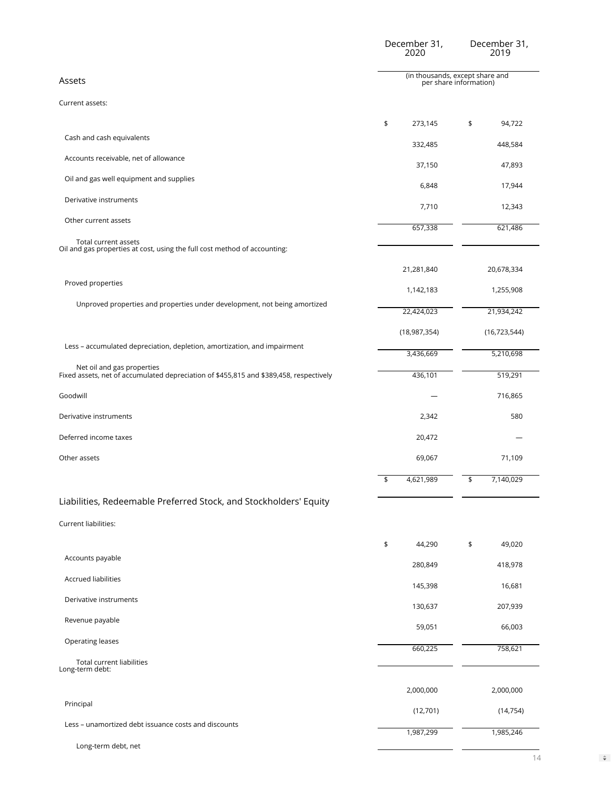|                                                                                                                      | December 31,<br>2020                                      | December 31,<br>2019 |  |  |  |  |
|----------------------------------------------------------------------------------------------------------------------|-----------------------------------------------------------|----------------------|--|--|--|--|
| Assets                                                                                                               | (in thousands, except share and<br>per share information) |                      |  |  |  |  |
| Current assets:                                                                                                      |                                                           |                      |  |  |  |  |
|                                                                                                                      | \$<br>273,145                                             | 94,722<br>\$         |  |  |  |  |
| Cash and cash equivalents                                                                                            | 332,485                                                   | 448,584              |  |  |  |  |
| Accounts receivable, net of allowance                                                                                | 37,150                                                    | 47,893               |  |  |  |  |
| Oil and gas well equipment and supplies                                                                              | 6,848                                                     | 17,944               |  |  |  |  |
| Derivative instruments                                                                                               | 7,710                                                     | 12,343               |  |  |  |  |
| Other current assets                                                                                                 | 657,338                                                   | 621,486              |  |  |  |  |
| Total current assets<br>Oil and gas properties at cost, using the full cost method of accounting:                    |                                                           |                      |  |  |  |  |
|                                                                                                                      | 21,281,840                                                | 20,678,334           |  |  |  |  |
| Proved properties                                                                                                    | 1,142,183                                                 | 1,255,908            |  |  |  |  |
| Unproved properties and properties under development, not being amortized                                            | 22,424,023                                                | 21,934,242           |  |  |  |  |
|                                                                                                                      |                                                           |                      |  |  |  |  |
| Less - accumulated depreciation, depletion, amortization, and impairment                                             | (18, 987, 354)                                            | (16, 723, 544)       |  |  |  |  |
| Net oil and gas properties<br>Fixed assets, net of accumulated depreciation of \$455,815 and \$389,458, respectively | 3,436,669                                                 | 5,210,698            |  |  |  |  |
|                                                                                                                      | 436,101                                                   | 519,291              |  |  |  |  |
| Goodwill                                                                                                             |                                                           | 716,865              |  |  |  |  |
| Derivative instruments                                                                                               | 2,342                                                     | 580                  |  |  |  |  |
| Deferred income taxes                                                                                                | 20,472                                                    |                      |  |  |  |  |
| Other assets                                                                                                         | 69,067                                                    | 71,109               |  |  |  |  |
|                                                                                                                      | 4,621,989<br>\$                                           | 7,140,029<br>\$      |  |  |  |  |
| Liabilities, Redeemable Preferred Stock, and Stockholders' Equity                                                    |                                                           |                      |  |  |  |  |
| Current liabilities:                                                                                                 |                                                           |                      |  |  |  |  |
|                                                                                                                      | \$<br>44,290                                              | 49,020<br>\$         |  |  |  |  |
| Accounts payable                                                                                                     | 280,849                                                   | 418,978              |  |  |  |  |
| <b>Accrued liabilities</b>                                                                                           | 145,398                                                   | 16,681               |  |  |  |  |
| Derivative instruments                                                                                               | 130,637                                                   | 207,939              |  |  |  |  |
| Revenue payable                                                                                                      | 59,051                                                    | 66,003               |  |  |  |  |
| Operating leases                                                                                                     | 660,225                                                   | 758,621              |  |  |  |  |
| Total current liabilities<br>Long-term debt:                                                                         |                                                           |                      |  |  |  |  |
|                                                                                                                      | 2,000,000                                                 | 2,000,000            |  |  |  |  |
| Principal                                                                                                            | (12,701)                                                  | (14, 754)            |  |  |  |  |
| Less - unamortized debt issuance costs and discounts                                                                 | 1,987,299                                                 | 1,985,246            |  |  |  |  |
| Long-term debt, net                                                                                                  |                                                           |                      |  |  |  |  |